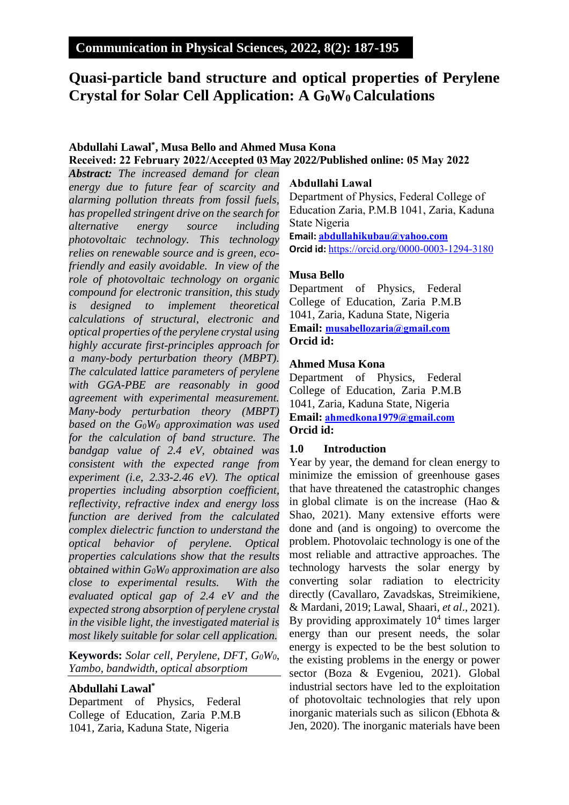# **Quasi-particle band structure and optical properties of Perylene Crystal for Solar Cell Application: A G0W0 Calculations**

## **Abdullahi Lawal\* , Musa Bello and Ahmed Musa Kona Received: 22 February 2022/Accepted 03 May 2022/Published online: 05 May 2022**

*Abstract: The increased demand for clean energy due to future fear of scarcity and alarming pollution threats from fossil fuels, has propelled stringent drive on the search for alternative energy source including photovoltaic technology. This technology relies on renewable source and is green, ecofriendly and easily avoidable. In view of the role of photovoltaic technology on organic compound for electronic transition, this study is designed to implement theoretical calculations of structural, electronic and optical properties of the perylene crystal using highly accurate first-principles approach for a many-body perturbation theory (MBPT). The calculated lattice parameters of perylene with GGA-PBE are reasonably in good agreement with experimental measurement. Many-body perturbation theory (MBPT) based on the G0W<sup>0</sup> approximation was used for the calculation of band structure. The bandgap value of 2.4 eV, obtained was consistent with the expected range from experiment (i.e, 2.33-2.46 eV). The optical properties including absorption coefficient, reflectivity, refractive index and energy loss function are derived from the calculated complex dielectric function to understand the optical behavior of perylene. Optical properties calculations show that the results obtained within G0W<sup>0</sup> approximation are also close to experimental results. With the evaluated optical gap of 2.4 eV and the expected strong absorption of perylene crystal in the visible light, the investigated material is most likely suitable for solar cell application.*

**Keywords:** *Solar cell, Perylene, DFT, G0W0, Yambo, bandwidth, optical absorptiom*

## **Abdullahi Lawal\***

Department of Physics, Federal College of Education, Zaria P.M.B 1041, Zaria, Kaduna State, Nigeria

#### **Abdullahi Lawal**

Department of Physics, Federal College of Education Zaria, P.M.B 1041, Zaria, Kaduna State Nigeria **Email: [abdullahikubau@yahoo.com](mailto:abdullahikubau@yahoo.com) Orcid id:** <https://orcid.org/0000-0003-1294-3180>

## **Musa Bello**

Department of Physics, Federal College of Education, Zaria P.M.B 1041, Zaria, Kaduna State, Nigeria **Email: [musabellozaria@gmail.com](mailto:musabellozaria@gmail.com) Orcid id:** 

## **Ahmed Musa Kona**

Department of Physics, Federal College of Education, Zaria P.M.B 1041, Zaria, Kaduna State, Nigeria **Email: [ahmedkona1979@gmail.com](mailto:ahmedkona1979@gmail.com) Orcid id:** 

#### **1.0 Introduction**

Year by year, the demand for clean energy to minimize the emission of greenhouse gases that have threatened the catastrophic changes in global climate is on the increase (Hao  $\&$ Shao, 2021). Many extensive efforts were done and (and is ongoing) to overcome the problem. Photovolaic technology is one of the most reliable and attractive approaches. The technology harvests the solar energy by converting solar radiation to electricity directly (Cavallaro, Zavadskas, Streimikiene, & Mardani, 2019; Lawal, Shaari, *et al*., 2021). By providing approximately  $10<sup>4</sup>$  times larger energy than our present needs, the solar energy is expected to be the best solution to the existing problems in the energy or power sector (Boza & Evgeniou, 2021). Global industrial sectors have led to the exploitation of photovoltaic technologies that rely upon inorganic materials such as silicon (Ebhota & Jen, 2020). The inorganic materials have been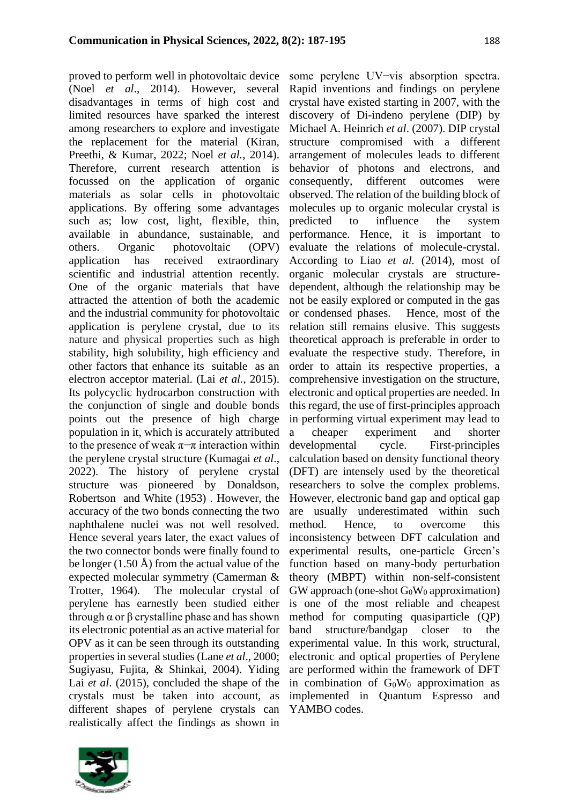proved to perform well in photovoltaic device (Noel *et al*., 2014). However, several disadvantages in terms of high cost and limited resources have sparked the interest among researchers to explore and investigate the replacement for the material (Kiran, Preethi, & Kumar, 2022; Noel *et al.*, 2014). Therefore, current research attention is focussed on the application of organic materials as solar cells in photovoltaic applications. By offering some advantages such as; low cost, light, flexible, thin, available in abundance, sustainable, and others. Organic photovoltaic (OPV) application has received extraordinary scientific and industrial attention recently. One of the organic materials that have attracted the attention of both the academic and the industrial community for photovoltaic application is perylene crystal, due to its nature and physical properties such as high stability, high solubility, high efficiency and other factors that enhance its suitable as an electron acceptor material. (Lai *et al.*, 2015). Its polycyclic hydrocarbon construction with the conjunction of single and double bonds points out the presence of high charge population in it, which is accurately attributed to the presence of weak  $\pi$ −π interaction within the perylene crystal structure (Kumagai *et al*., 2022). The history of perylene crystal structure was pioneered by Donaldson, Robertson and White (1953) . However, the accuracy of the two bonds connecting the two naphthalene nuclei was not well resolved. Hence several years later, the exact values of the two connector bonds were finally found to be longer  $(1.50 \text{ Å})$  from the actual value of the expected molecular symmetry (Camerman & Trotter, 1964). The molecular crystal of perylene has earnestly been studied either through α or β crystalline phase and has shown its electronic potential as an active material for OPV as it can be seen through its outstanding properties in several studies (Lane *et al*., 2000; Sugiyasu, Fujita, & Shinkai, 2004). Yiding Lai *et al*. (2015), concluded the shape of the crystals must be taken into account, as different shapes of perylene crystals can realistically affect the findings as shown in

some perylene UV−vis absorption spectra. Rapid inventions and findings on perylene crystal have existed starting in 2007, with the discovery of Di-indeno perylene (DIP) by Michael A. Heinrich *et al*. (2007). DIP crystal structure compromised with a different arrangement of molecules leads to different behavior of photons and electrons, and consequently, different outcomes were observed. The relation of the building block of molecules up to organic molecular crystal is predicted to influence the system performance. Hence, it is important to evaluate the relations of molecule-crystal. According to Liao *et al.* (2014), most of organic molecular crystals are structuredependent, although the relationship may be not be easily explored or computed in the gas or condensed phases. Hence, most of the relation still remains elusive. This suggests theoretical approach is preferable in order to evaluate the respective study. Therefore, in order to attain its respective properties, a comprehensive investigation on the structure, electronic and optical properties are needed. In this regard, the use of first-principles approach in performing virtual experiment may lead to a cheaper experiment and shorter developmental cycle. First-principles calculation based on density functional theory (DFT) are intensely used by the theoretical researchers to solve the complex problems. However, electronic band gap and optical gap are usually underestimated within such method. Hence, to overcome this inconsistency between DFT calculation and experimental results, one-particle Green's function based on many-body perturbation theory (MBPT) within non-self-consistent  $GW$  approach (one-shot  $G_0W_0$  approximation) is one of the most reliable and cheapest method for computing quasiparticle (QP) band structure/bandgap closer to the experimental value. In this work, structural, electronic and optical properties of Perylene are performed within the framework of DFT in combination of  $G_0W_0$  approximation as implemented in Quantum Espresso and YAMBO codes.

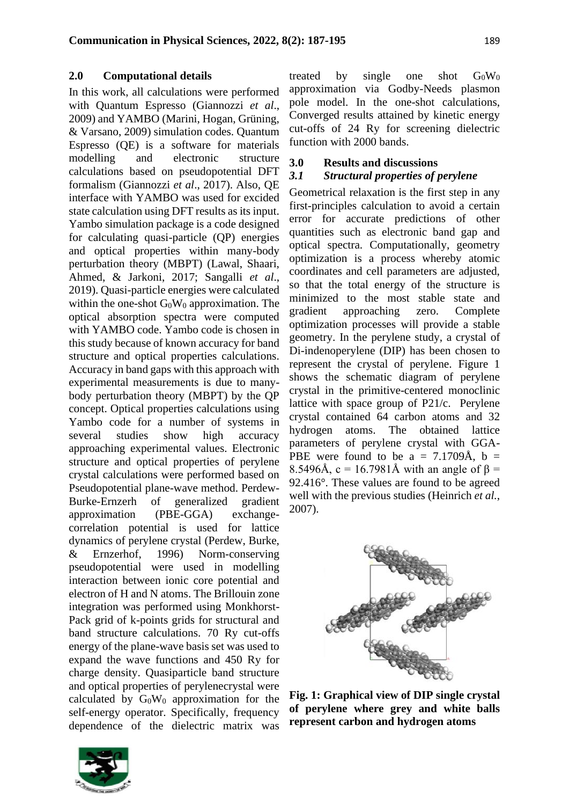#### **2.0 Computational details**

In this work, all calculations were performed with Quantum Espresso (Giannozzi *et al*., 2009) and YAMBO (Marini, Hogan, Grüning, & Varsano, 2009) simulation codes. Quantum Espresso (QE) is a software for materials modelling and electronic structure calculations based on pseudopotential DFT formalism (Giannozzi *et al*., 2017). Also, QE interface with YAMBO was used for excided state calculation using DFT results as its input. Yambo simulation package is a code designed for calculating quasi-particle (QP) energies and optical properties within many-body perturbation theory (MBPT) (Lawal, Shaari, Ahmed, & Jarkoni, 2017; Sangalli *et al*., 2019). Quasi-particle energies were calculated within the one-shot  $G_0W_0$  approximation. The optical absorption spectra were computed with YAMBO code. Yambo code is chosen in this study because of known accuracy for band structure and optical properties calculations. Accuracy in band gaps with this approach with experimental measurements is due to manybody perturbation theory (MBPT) by the QP concept. Optical properties calculations using Yambo code for a number of systems in several studies show high accuracy approaching experimental values. Electronic structure and optical properties of perylene crystal calculations were performed based on Pseudopotential plane-wave method. Perdew-Burke-Ernzerh of generalized gradient approximation (PBE-GGA) exchangecorrelation potential is used for lattice dynamics of perylene crystal (Perdew, Burke, & Ernzerhof, 1996) Norm-conserving pseudopotential were used in modelling interaction between ionic core potential and electron of H and N atoms. The Brillouin zone integration was performed using Monkhorst-Pack grid of k-points grids for structural and band structure calculations. 70 Ry cut-offs energy of the plane-wave basis set was used to expand the wave functions and 450 Ry for charge density. Quasiparticle band structure and optical properties of perylenecrystal were calculated by  $G_0W_0$  approximation for the self-energy operator. Specifically, frequency dependence of the dielectric matrix was



treated by single one shot  $G_0W_0$ approximation via Godby-Needs plasmon pole model. In the one-shot calculations, Converged results attained by kinetic energy cut-offs of 24 Ry for screening dielectric function with 2000 bands.

## **3.0 Results and discussions**

## *3.1 Structural properties of perylene*

Geometrical relaxation is the first step in any first-principles calculation to avoid a certain error for accurate predictions of other quantities such as electronic band gap and optical spectra. Computationally, geometry optimization is a process whereby atomic coordinates and cell parameters are adjusted, so that the total energy of the structure is minimized to the most stable state and gradient approaching zero. Complete optimization processes will provide a stable geometry. In the perylene study, a crystal of Di-indenoperylene (DIP) has been chosen to represent the crystal of perylene. Figure 1 shows the schematic diagram of perylene crystal in the primitive-centered monoclinic lattice with space group of P21/c. Perylene crystal contained 64 carbon atoms and 32 hydrogen atoms. The obtained lattice parameters of perylene crystal with GGA-PBE were found to be a =  $7.1709\text{\AA}$ , b = 8.5496Å, c = 16.7981Å with an angle of  $\beta$  = 92.416°. These values are found to be agreed well with the previous studies (Heinrich *et al.*, 2007).



**Fig. 1: Graphical view of DIP single crystal of perylene where grey and white balls represent carbon and hydrogen atoms**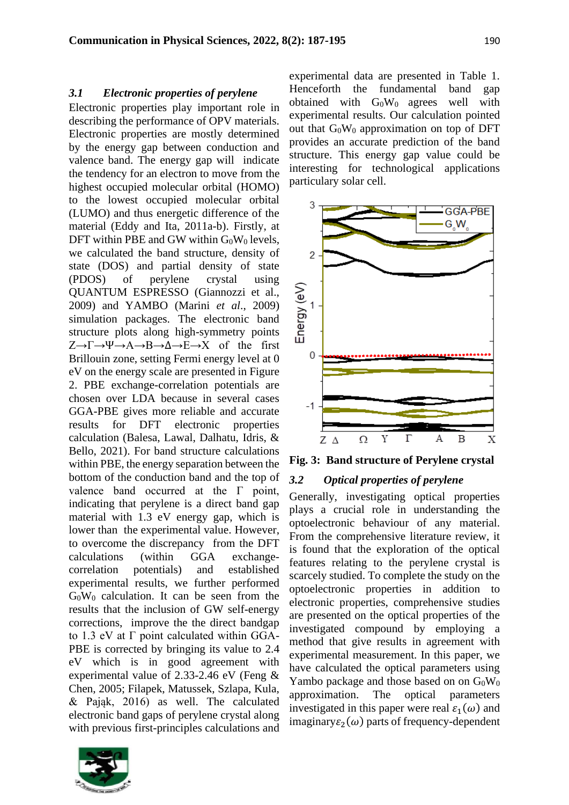#### *3.1 Electronic properties of perylene*

Electronic properties play important role in describing the performance of OPV materials. Electronic properties are mostly determined by the energy gap between conduction and valence band. The energy gap will indicate the tendency for an electron to move from the highest occupied molecular orbital (HOMO) to the lowest occupied molecular orbital (LUMO) and thus energetic difference of the material (Eddy and Ita, 2011a-b). Firstly, at DFT within PBE and GW within  $G_0W_0$  levels, we calculated the band structure, density of state (DOS) and partial density of state (PDOS) of perylene crystal using QUANTUM ESPRESSO (Giannozzi et al., 2009) and YAMBO (Marini *et al*., 2009) simulation packages. The electronic band structure plots along high-symmetry points Z→Γ→Ψ→A→B→Δ→E→X of the first Brillouin zone, setting Fermi energy level at 0 eV on the energy scale are presented in Figure 2. PBE exchange-correlation potentials are chosen over LDA because in several cases GGA-PBE gives more reliable and accurate results for DFT electronic properties calculation (Balesa, Lawal, Dalhatu, Idris, & Bello, 2021). For band structure calculations within PBE, the energy separation between the bottom of the conduction band and the top of valence band occurred at the Γ point, indicating that perylene is a direct band gap material with 1.3 eV energy gap, which is lower than the experimental value. However, to overcome the discrepancy from the DFT calculations (within GGA exchangecorrelation potentials) and established experimental results, we further performed G0W<sup>0</sup> calculation. It can be seen from the results that the inclusion of GW self-energy corrections, improve the the direct bandgap to 1.3 eV at Γ point calculated within GGA-PBE is corrected by bringing its value to 2.4 eV which is in good agreement with experimental value of 2.33-2.46 eV (Feng & Chen, 2005; Filapek, Matussek, Szlapa, Kula, & Pająk, 2016) as well. The calculated electronic band gaps of perylene crystal along with previous first-principles calculations and



experimental data are presented in Table 1. Henceforth the fundamental band gap obtained with  $G_0W_0$  agrees well with experimental results. Our calculation pointed out that  $G_0W_0$  approximation on top of DFT provides an accurate prediction of the band structure. This energy gap value could be interesting for technological applications particulary solar cell.



**Fig. 3: Band structure of Perylene crystal** 

#### *3.2 Optical properties of perylene*

Generally, investigating optical properties plays a crucial role in understanding the optoelectronic behaviour of any material. From the comprehensive literature review, it is found that the exploration of the optical features relating to the perylene crystal is scarcely studied. To complete the study on the optoelectronic properties in addition to electronic properties, comprehensive studies are presented on the optical properties of the investigated compound by employing a method that give results in agreement with experimental measurement. In this paper, we have calculated the optical parameters using Yambo package and those based on on  $G_0W_0$ approximation. The optical parameters investigated in this paper were real  $\varepsilon_1(\omega)$  and imaginary $\varepsilon_2(\omega)$  parts of frequency-dependent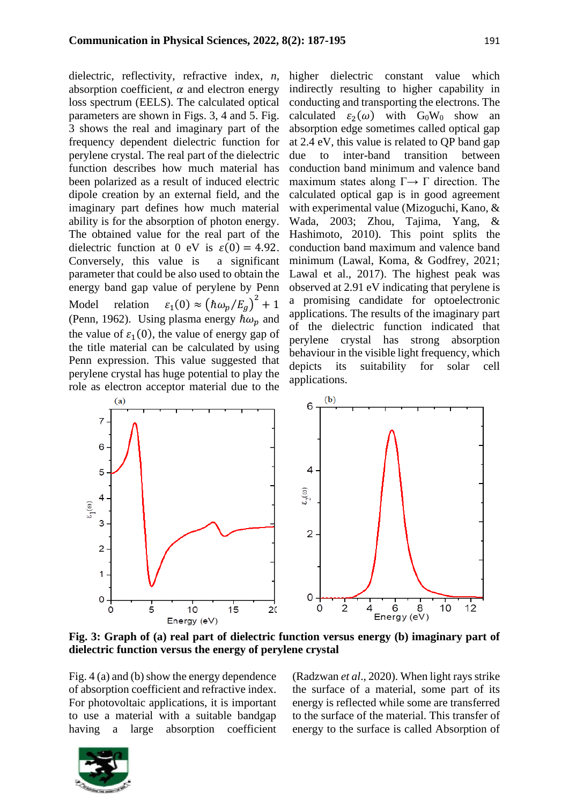dielectric, reflectivity, refractive index, *n*, absorption coefficient,  $\alpha$  and electron energy loss spectrum (EELS). The calculated optical parameters are shown in Figs. 3, 4 and 5. Fig. 3 shows the real and imaginary part of the frequency dependent dielectric function for perylene crystal. The real part of the dielectric function describes how much material has been polarized as a result of induced electric dipole creation by an external field, and the imaginary part defines how much material ability is for the absorption of photon energy. The obtained value for the real part of the dielectric function at 0 eV is  $\varepsilon(0) = 4.92$ . Conversely, this value is a significant parameter that could be also used to obtain the energy band gap value of perylene by Penn Model relation  $\varepsilon_1(0) \approx (\hbar \omega_p / E_g)^2 + 1$ (Penn, 1962). Using plasma energy  $\hbar \omega_p$  and the value of  $\varepsilon_1(0)$ , the value of energy gap of the title material can be calculated by using Penn expression. This value suggested that perylene crystal has huge potential to play the role as electron acceptor material due to the

higher dielectric constant value which indirectly resulting to higher capability in conducting and transporting the electrons. The calculated  $\varepsilon_2(\omega)$  with  $G_0W_0$  show an absorption edge sometimes called optical gap at 2.4 eV, this value is related to QP band gap due to inter-band transition between conduction band minimum and valence band maximum states along  $\Gamma \rightarrow \Gamma$  direction. The calculated optical gap is in good agreement with experimental value (Mizoguchi, Kano, & Wada, 2003; Zhou, Tajima, Yang, & Hashimoto, 2010). This point splits the conduction band maximum and valence band minimum (Lawal, Koma, & Godfrey, 2021; Lawal et al., 2017). The highest peak was observed at 2.91 eV indicating that perylene is a promising candidate for optoelectronic applications. The results of the imaginary part of the dielectric function indicated that perylene crystal has strong absorption behaviour in the visible light frequency, which depicts its suitability for solar cell applications.



**Fig. 3: Graph of (a) real part of dielectric function versus energy (b) imaginary part of dielectric function versus the energy of perylene crystal** 

Fig. 4 (a) and (b) show the energy dependence of absorption coefficient and refractive index. For photovoltaic applications, it is important to use a material with a suitable bandgap having a large absorption coefficient (Radzwan *et al*., 2020). When light rays strike the surface of a material, some part of its energy is reflected while some are transferred to the surface of the material. This transfer of energy to the surface is called Absorption of

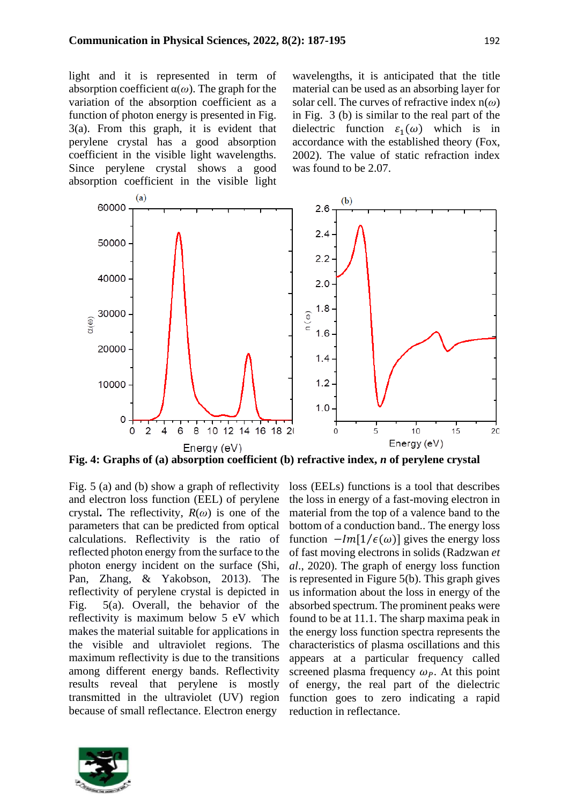light and it is represented in term of absorption coefficient α(*ω*). The graph for the variation of the absorption coefficient as a function of photon energy is presented in Fig. 3(a). From this graph, it is evident that perylene crystal has a good absorption coefficient in the visible light wavelengths. Since perylene crystal shows a good absorption coefficient in the visible light wavelengths, it is anticipated that the title material can be used as an absorbing layer for solar cell. The curves of refractive index n(*ω*) in Fig. 3 (b) is similar to the real part of the dielectric function  $\varepsilon_1(\omega)$  which is in accordance with the established theory (Fox, 2002). The value of static refraction index was found to be 2.07.



**Fig. 4: Graphs of (a) absorption coefficient (b) refractive index,** *n* **of perylene crystal**

Fig. 5 (a) and (b) show a graph of reflectivity and electron loss function (EEL) of perylene crystal**.** The reflectivity, *R*(*ω*) is one of the parameters that can be predicted from optical calculations. Reflectivity is the ratio of reflected photon energy from the surface to the photon energy incident on the surface (Shi, Pan, Zhang, & Yakobson, 2013). The reflectivity of perylene crystal is depicted in Fig. 5(a). Overall, the behavior of the reflectivity is maximum below 5 eV which makes the material suitable for applications in the visible and ultraviolet regions. The maximum reflectivity is due to the transitions among different energy bands. Reflectivity results reveal that perylene is mostly transmitted in the ultraviolet (UV) region because of small reflectance. Electron energy



loss (EELs) functions is a tool that describes the loss in energy of a fast-moving electron in material from the top of a valence band to the bottom of a conduction band.. The energy loss function  $-Im[1/\epsilon(\omega)]$  gives the energy loss of fast moving electrons in solids (Radzwan *et al*., 2020). The graph of energy loss function is represented in Figure 5(b). This graph gives us information about the loss in energy of the absorbed spectrum. The prominent peaks were found to be at 11.1. The sharp maxima peak in the energy loss function spectra represents the characteristics of plasma oscillations and this appears at a particular frequency called screened plasma frequency  $\omega_p$ . At this point of energy, the real part of the dielectric function goes to zero indicating a rapid reduction in reflectance.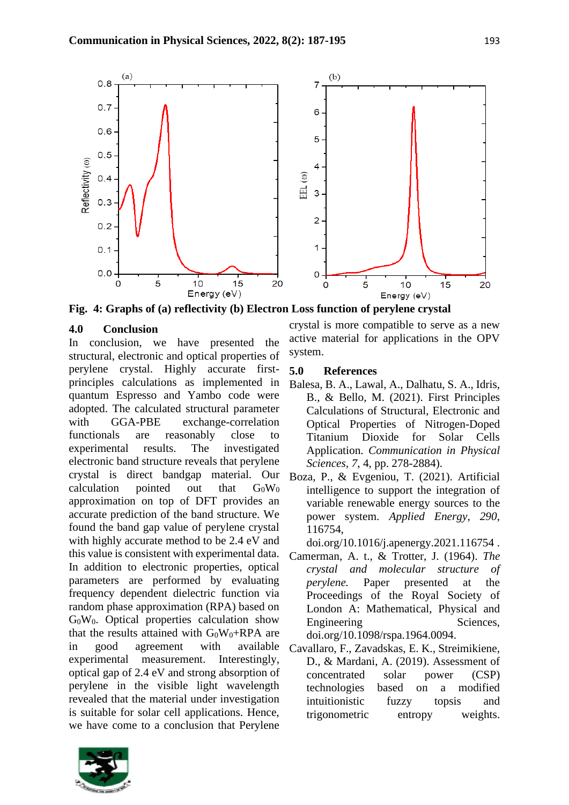

**Fig. 4: Graphs of (a) reflectivity (b) Electron Loss function of perylene crystal**

## **4.0 Conclusion**

In conclusion, we have presented the structural, electronic and optical properties of perylene crystal. Highly accurate firstprinciples calculations as implemented in quantum Espresso and Yambo code were adopted. The calculated structural parameter with GGA-PBE exchange-correlation functionals are reasonably close to experimental results. The investigated electronic band structure reveals that perylene crystal is direct bandgap material. Our calculation pointed out that  $G_0W_0$ approximation on top of DFT provides an accurate prediction of the band structure. We found the band gap value of perylene crystal with highly accurate method to be 2.4 eV and this value is consistent with experimental data. In addition to electronic properties, optical parameters are performed by evaluating frequency dependent dielectric function via random phase approximation (RPA) based on G0W0. Optical properties calculation show that the results attained with  $G_0W_0+RPA$  are in good agreement with available experimental measurement. Interestingly, optical gap of 2.4 eV and strong absorption of perylene in the visible light wavelength revealed that the material under investigation is suitable for solar cell applications. Hence, we have come to a conclusion that Perylene

crystal is more compatible to serve as a new active material for applications in the OPV system.

## **5.0 References**

- Balesa, B. A., Lawal, A., Dalhatu, S. A., Idris, B., & Bello, M. (2021). First Principles Calculations of Structural, Electronic and Optical Properties of Nitrogen-Doped Titanium Dioxide for Solar Cells Application. *Communication in Physical Sciences, 7*, 4, pp. 278-2884).
- Boza, P., & Evgeniou, T. (2021). Artificial intelligence to support the integration of variable renewable energy sources to the power system. *Applied Energy, 290*, 116754,

doi.org/10.1016/j.apenergy.2021.116754 .

- Camerman, A. t., & Trotter, J. (1964). *The crystal and molecular structure of perylene.* Paper presented at the Proceedings of the Royal Society of London A: Mathematical, Physical and Engineering Sciences, doi.org/10.1098/rspa.1964.0094.
- Cavallaro, F., Zavadskas, E. K., Streimikiene, D., & Mardani, A. (2019). Assessment of concentrated solar power (CSP) technologies based on a modified intuitionistic fuzzy topsis and trigonometric entropy weights.

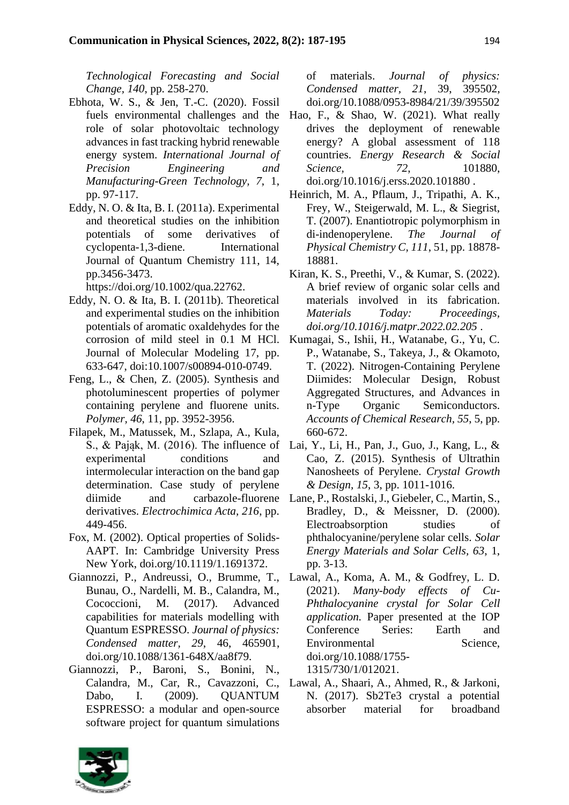*Technological Forecasting and Social Change, 140*, pp. 258-270.

- Ebhota, W. S., & Jen, T.-C. (2020). Fossil fuels environmental challenges and the role of solar photovoltaic technology advances in fast tracking hybrid renewable energy system. *International Journal of Precision Engineering and Manufacturing-Green Technology, 7*, 1, pp. 97-117.
- Eddy, N. O. & Ita, B. I. (2011a). Experimental and theoretical studies on the inhibition potentials of some derivatives of cyclopenta-1,3-diene. International Journal of Quantum Chemistry 111, 14, pp.3456-3473.

https://doi.org/10.1002/qua.22762.

- Eddy, N. O. & Ita, B. I. (2011b). Theoretical and experimental studies on the inhibition potentials of aromatic oxaldehydes for the corrosion of mild steel in 0.1 M HCl. Journal of Molecular Modeling 17, pp. 633-647, doi:10.1007/s00894-010-0749.
- Feng, L., & Chen, Z. (2005). Synthesis and photoluminescent properties of polymer containing perylene and fluorene units. *Polymer, 46*, 11, pp. 3952-3956.
- Filapek, M., Matussek, M., Szlapa, A., Kula, S., & Pająk, M. (2016). The influence of experimental conditions and intermolecular interaction on the band gap determination. Case study of perylene derivatives. *Electrochimica Acta, 216*, pp. 449-456.
- Fox, M. (2002). Optical properties of Solids-AAPT. In: Cambridge University Press New York, doi.org/10.1119/1.1691372.
- Giannozzi, P., Andreussi, O., Brumme, T., Bunau, O., Nardelli, M. B., Calandra, M., Cococcioni, M. (2017). Advanced capabilities for materials modelling with Quantum ESPRESSO. *Journal of physics: Condensed matter, 29*, 46, 465901, doi.org/10.1088/1361-648X/aa8f79.
- Giannozzi, P., Baroni, S., Bonini, N., Calandra, M., Car, R., Cavazzoni, C., Dabo, I. (2009). OUANTUM ESPRESSO: a modular and open-source software project for quantum simulations

of materials. *Journal of physics: Condensed matter, 21*, 39, 395502, doi.org/10.1088/0953-8984/21/39/395502

- Hao, F., & Shao, W. (2021). What really drives the deployment of renewable energy? A global assessment of 118 countries. *Energy Research & Social Science,* 72, 101880, doi.org/10.1016/j.erss.2020.101880 .
- Heinrich, M. A., Pflaum, J., Tripathi, A. K., Frey, W., Steigerwald, M. L., & Siegrist, T. (2007). Enantiotropic polymorphism in di-indenoperylene. *The Journal of Physical Chemistry C, 111*, 51, pp. 18878- 18881.
- Kiran, K. S., Preethi, V., & Kumar, S. (2022). A brief review of organic solar cells and materials involved in its fabrication. *Materials Today: Proceedings, doi.org/10.1016/j.matpr.2022.02.205* .
- Kumagai, S., Ishii, H., Watanabe, G., Yu, C. P., Watanabe, S., Takeya, J., & Okamoto, T. (2022). Nitrogen-Containing Perylene Diimides: Molecular Design, Robust Aggregated Structures, and Advances in n-Type Organic Semiconductors. *Accounts of Chemical Research, 55*, 5, pp. 660-672.
- Lai, Y., Li, H., Pan, J., Guo, J., Kang, L., & Cao, Z. (2015). Synthesis of Ultrathin Nanosheets of Perylene. *Crystal Growth & Design, 15*, 3, pp. 1011-1016.
- diimide and carbazole-fluorene Lane, P., Rostalski, J., Giebeler, C., Martin, S., Bradley, D., & Meissner, D. (2000). Electroabsorption studies of phthalocyanine/perylene solar cells. *Solar Energy Materials and Solar Cells, 63*, 1, pp. 3-13.
	- Lawal, A., Koma, A. M., & Godfrey, L. D. (2021). *Many-body effects of Cu-Phthalocyanine crystal for Solar Cell application.* Paper presented at the IOP Conference Series: Earth and Environmental Science, doi.org/10.1088/1755- 1315/730/1/012021.
	- Lawal, A., Shaari, A., Ahmed, R., & Jarkoni, N. (2017). Sb2Te3 crystal a potential absorber material for broadband